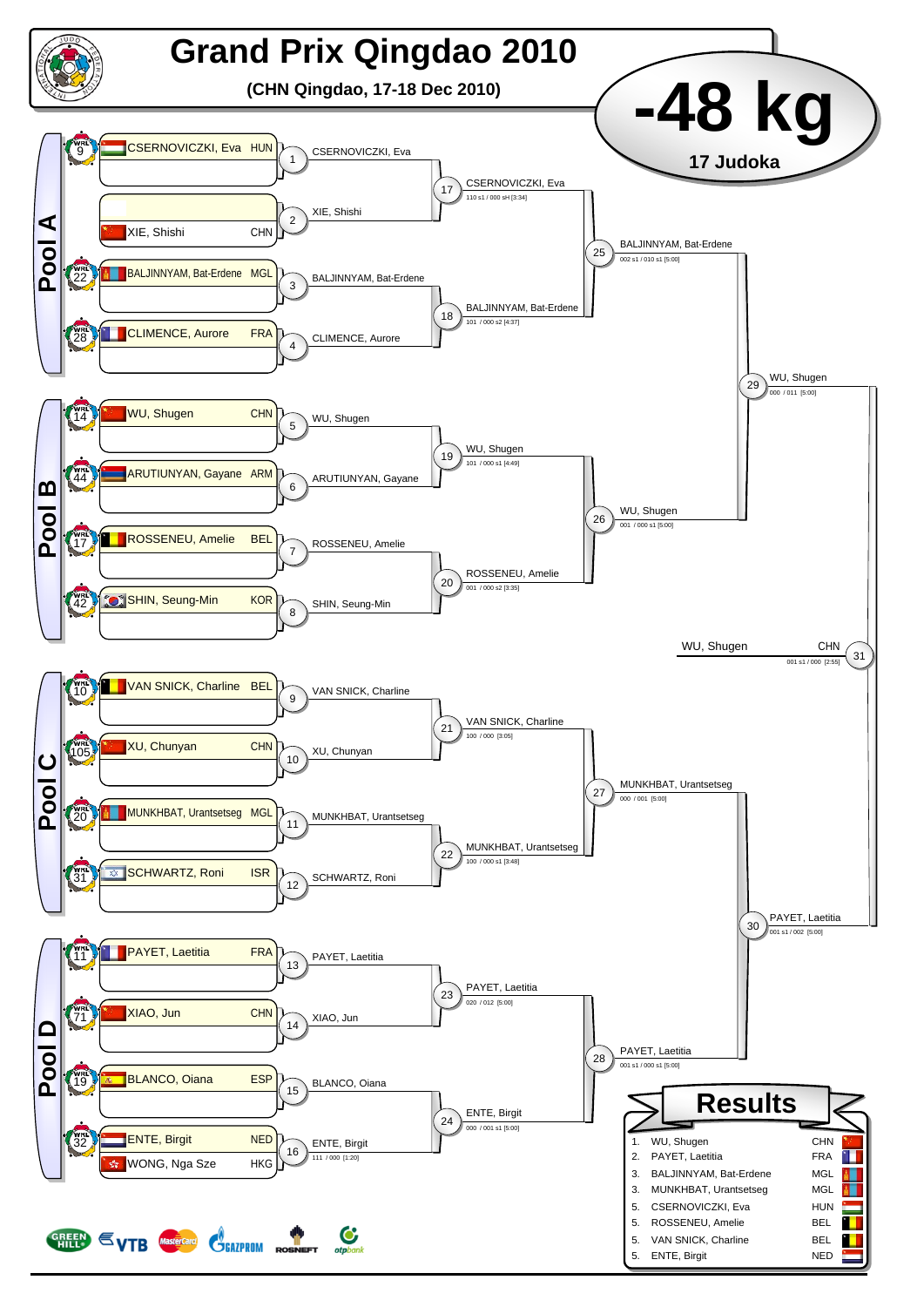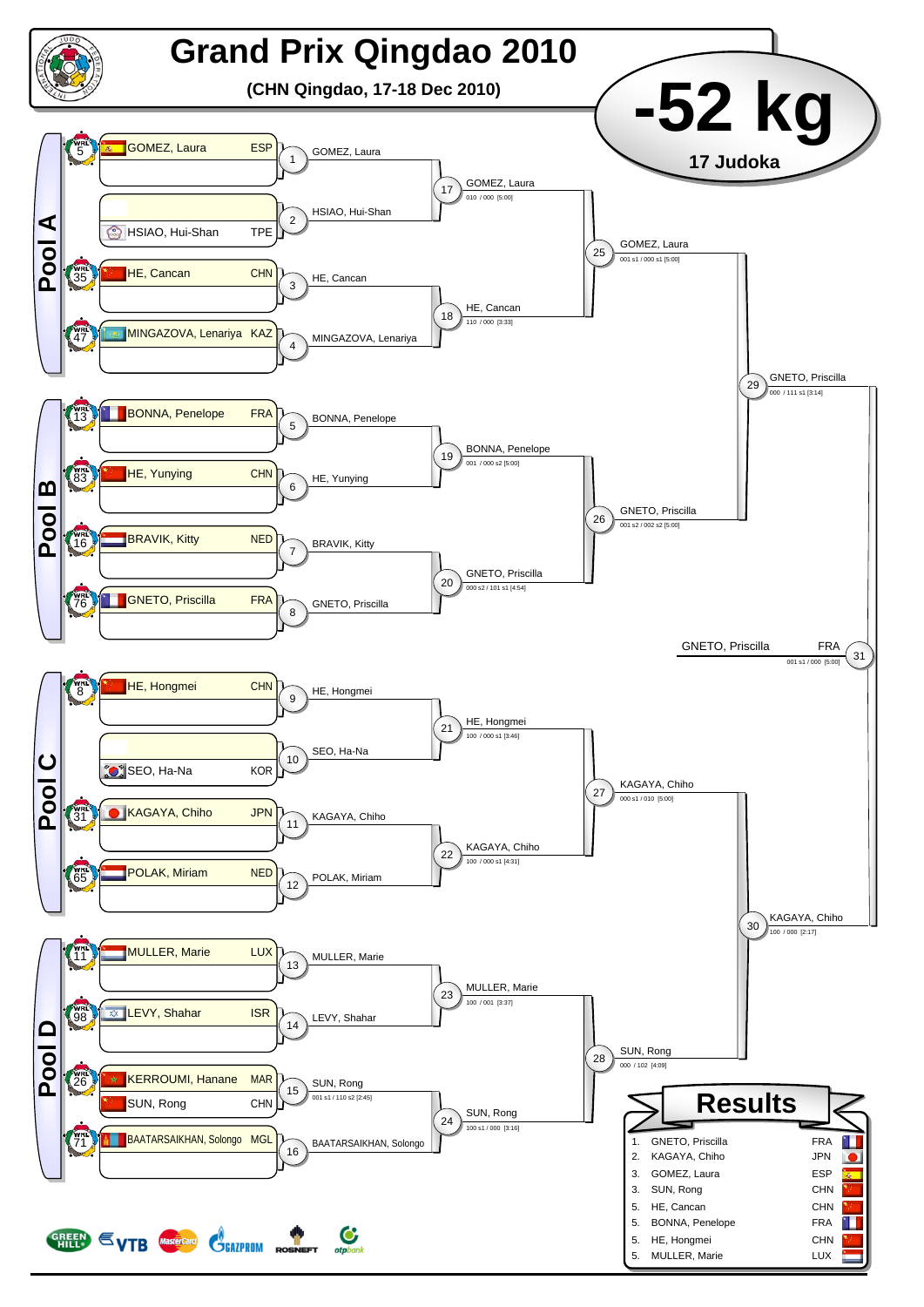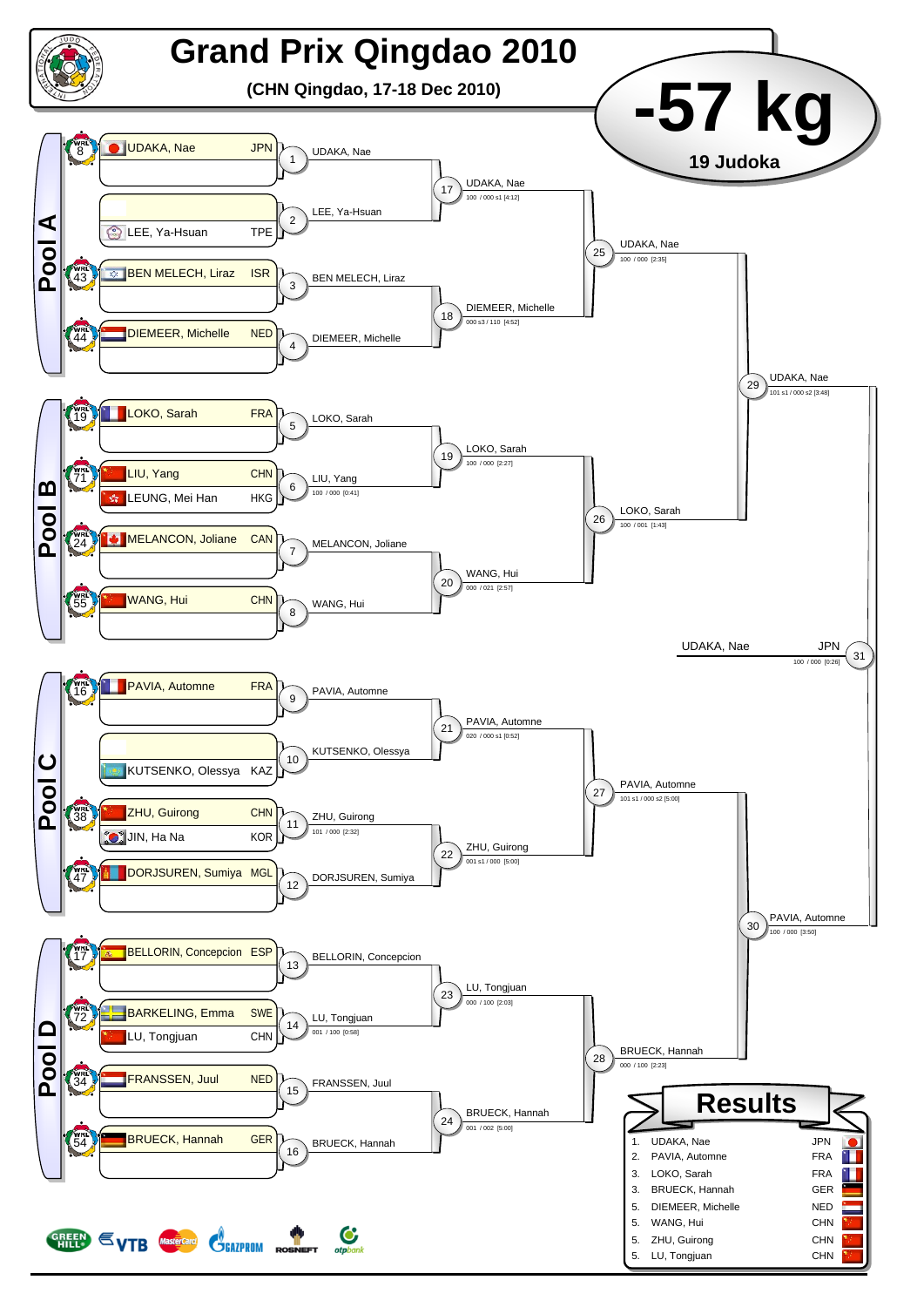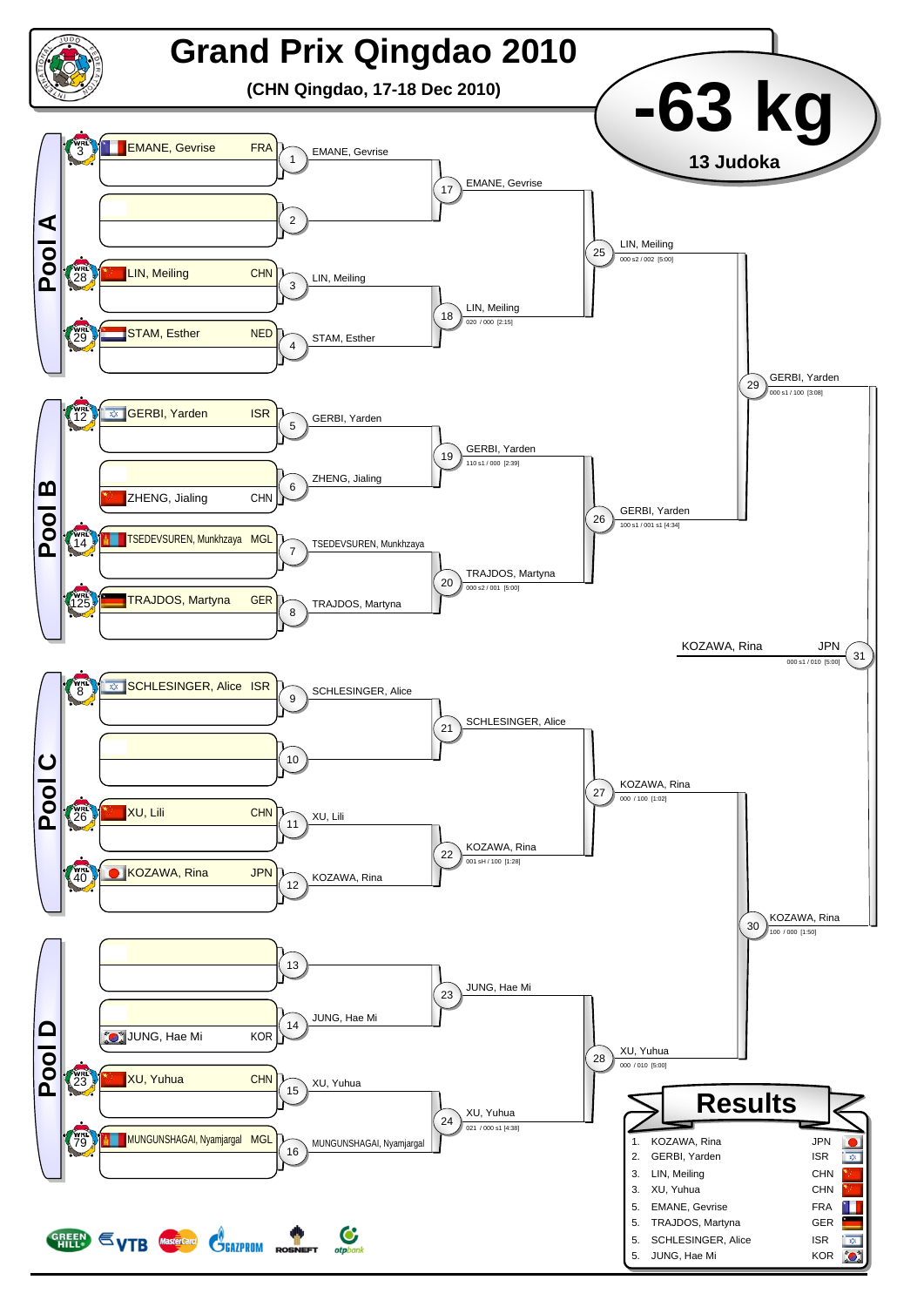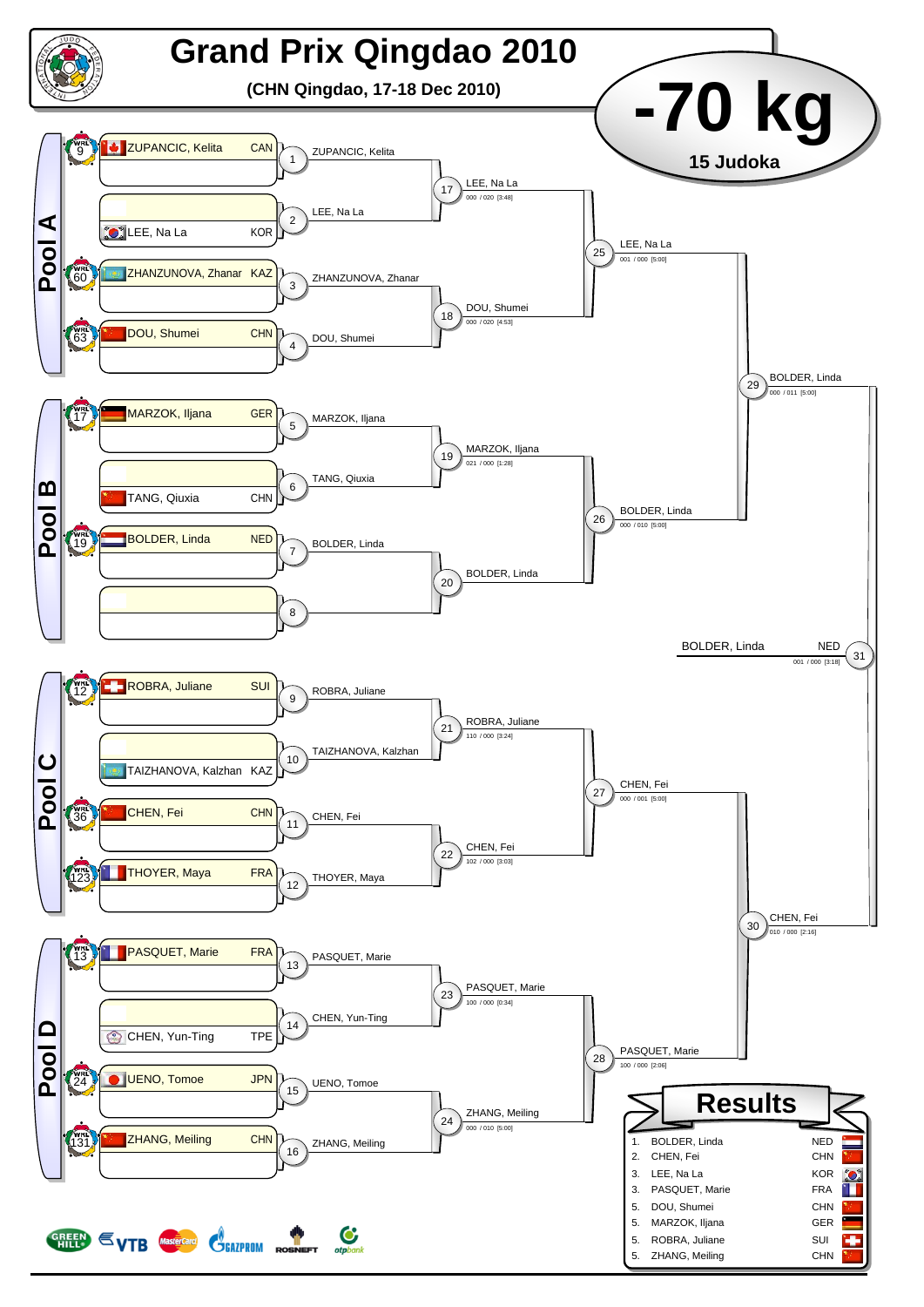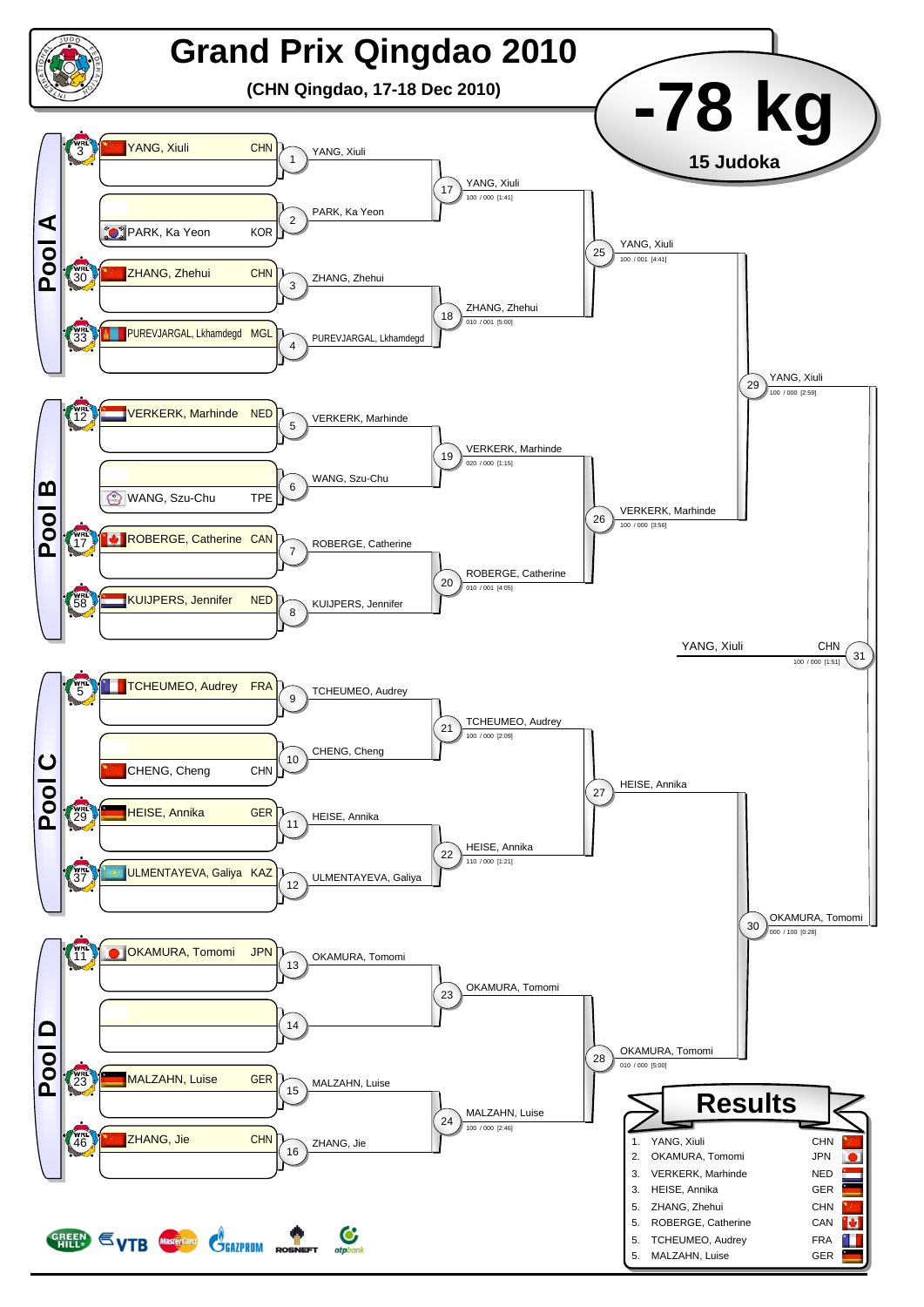